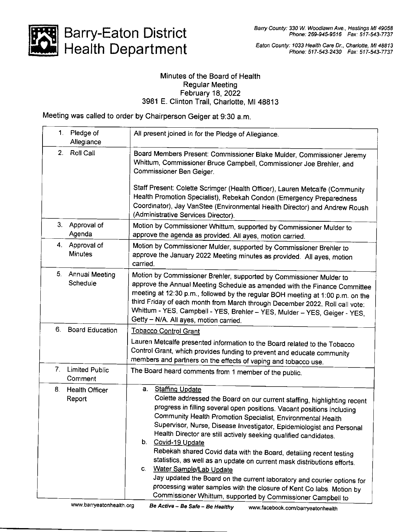

## Barry-Eaton District Health Department

## Minutes of the Board of Health Regular Meeting February 18,2022 3981 E. Clinton Trail, Charlotte, Ml 48813

Meeting was called to order by Chairperson Geiger at 9:30 a.m.

| 1. | Pledge of<br>Allegiance          | All present joined in for the Pledge of Allegiance.                                                                                                                                                                                                                                                                                                                                                                                                                                                                                                                                                                                                                                                                                                                                                                        |
|----|----------------------------------|----------------------------------------------------------------------------------------------------------------------------------------------------------------------------------------------------------------------------------------------------------------------------------------------------------------------------------------------------------------------------------------------------------------------------------------------------------------------------------------------------------------------------------------------------------------------------------------------------------------------------------------------------------------------------------------------------------------------------------------------------------------------------------------------------------------------------|
| 2. | Roll Call                        | Board Members Present: Commissioner Blake Mulder, Commissioner Jeremy<br>Whittum, Commissioner Bruce Campbell, Commissioner Joe Brehler, and<br>Commissioner Ben Geiger.                                                                                                                                                                                                                                                                                                                                                                                                                                                                                                                                                                                                                                                   |
|    |                                  | Staff Present: Colette Scrimger (Health Officer), Lauren Metcalfe (Community<br>Health Promotion Specialist), Rebekah Condon (Emergency Preparedness<br>Coordinator), Jay VanStee (Environmental Health Director) and Andrew Roush<br>(Administrative Services Director).                                                                                                                                                                                                                                                                                                                                                                                                                                                                                                                                                  |
| 3. | Approval of<br>Agenda            | Motion by Commissioner Whittum, supported by Commissioner Mulder to<br>approve the agenda as provided. All ayes, motion carried.                                                                                                                                                                                                                                                                                                                                                                                                                                                                                                                                                                                                                                                                                           |
|    | 4. Approval of<br><b>Minutes</b> | Motion by Commissioner Mulder, supported by Commissioner Brehler to<br>approve the January 2022 Meeting minutes as provided. All ayes, motion<br>carried.                                                                                                                                                                                                                                                                                                                                                                                                                                                                                                                                                                                                                                                                  |
| 5. | Annual Meeting<br>Schedule       | Motion by Commissioner Brehler, supported by Commissioner Mulder to<br>approve the Annual Meeting Schedule as amended with the Finance Committee<br>meeting at 12:30 p.m., followed by the regular BOH meeting at 1:00 p.m. on the<br>third Friday of each month from March through December 2022. Roll call vote:<br>Whittum - YES, Campbell - YES, Brehler - YES, Mulder - YES, Geiger - YES,<br>Getty - N/A. All ayes, motion carried.                                                                                                                                                                                                                                                                                                                                                                                  |
|    | 6. Board Education               | Tobacco Control Grant                                                                                                                                                                                                                                                                                                                                                                                                                                                                                                                                                                                                                                                                                                                                                                                                      |
|    |                                  | Lauren Metcalfe presented information to the Board related to the Tobacco<br>Control Grant, which provides funding to prevent and educate community<br>members and partners on the effects of vaping and tobacco use.                                                                                                                                                                                                                                                                                                                                                                                                                                                                                                                                                                                                      |
| 7. | <b>Limited Public</b><br>Comment | The Board heard comments from 1 member of the public.                                                                                                                                                                                                                                                                                                                                                                                                                                                                                                                                                                                                                                                                                                                                                                      |
| 8. | <b>Health Officer</b><br>Report  | <b>Staffing Update</b><br>a.<br>Colette addressed the Board on our current staffing, highlighting recent<br>progress in filling several open positions. Vacant positions including<br>Community Health Promotion Specialist, Environmental Health<br>Supervisor, Nurse, Disease Investigator, Epidemiologist and Personal<br>Health Director are still actively seeking qualified candidates.<br>b.<br>Covid-19 Update<br>Rebekah shared Covid data with the Board, detailing recent testing<br>statistics, as well as an update on current mask distributions efforts.<br>Water Sample/Lab Update<br>C.<br>Jay updated the Board on the current laboratory and courier options for<br>processing water samples with the closure of Kent Co labs. Motion by<br>Commissioner Whittum, supported by Commissioner Campbell to |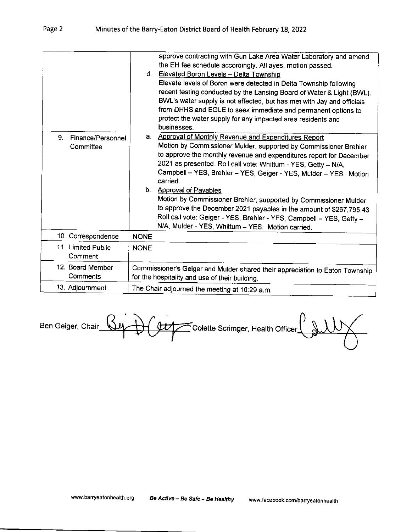| 9.<br>Finance/Personnel       | approve contracting with Gun Lake Area Water Laboratory and amend<br>the EH fee schedule accordingly. All ayes, motion passed.<br>d. Elevated Boron Levels - Delta Township<br>Elevate levels of Boron were detected in Delta Township following<br>recent testing conducted by the Lansing Board of Water & Light (BWL).<br>BWL's water supply is not affected, but has met with Jay and officials<br>from DHHS and EGLE to seek immediate and permanent options to<br>protect the water supply for any impacted area residents and<br>businesses.<br>Approval of Monthly Revenue and Expenditures Report<br>a. |
|-------------------------------|------------------------------------------------------------------------------------------------------------------------------------------------------------------------------------------------------------------------------------------------------------------------------------------------------------------------------------------------------------------------------------------------------------------------------------------------------------------------------------------------------------------------------------------------------------------------------------------------------------------|
| Committee                     | Motion by Commissioner Mulder, supported by Commissioner Brehler<br>to approve the monthly revenue and expenditures report for December<br>2021 as presented. Roll call vote: Whittum - YES, Getty - N/A,<br>Campbell - YES, Brehler - YES, Geiger - YES, Mulder - YES. Motion<br>carried.<br>b. Approval of Payables<br>Motion by Commissioner Brehler, supported by Commissioner Mulder<br>to approve the December 2021 payables in the amount of \$267,795.43<br>Roll call vote: Geiger - YES, Brehler - YES, Campbell - YES, Getty -<br>N/A, Mulder - YES, Whittum - YES. Motion carried.                    |
| 10. Correspondence            | <b>NONE</b>                                                                                                                                                                                                                                                                                                                                                                                                                                                                                                                                                                                                      |
| 11. Limited Public<br>Comment | <b>NONE</b>                                                                                                                                                                                                                                                                                                                                                                                                                                                                                                                                                                                                      |
| 12. Board Member<br>Comments  | Commissioner's Geiger and Mulder shared their appreciation to Eaton Township<br>for the hospitality and use of their building.                                                                                                                                                                                                                                                                                                                                                                                                                                                                                   |
| 13. Adjournment               | The Chair adjourned the meeting at 10:29 a.m.                                                                                                                                                                                                                                                                                                                                                                                                                                                                                                                                                                    |

Ben Geiger, Chair Buy Colette Scrimger, Health Officer